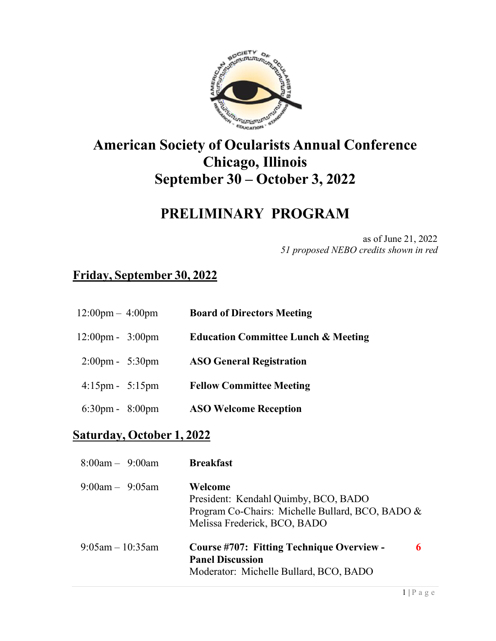

## **American Society of Ocularists Annual Conference Chicago, Illinois September 30 – October 3, 2022**

### **PRELIMINARY PROGRAM**

as of June 21, 2022 *51 proposed NEBO credits shown in red*

### **Friday, September 30, 2022**

| $12:00 \text{pm} - 4:00 \text{pm}$ | <b>Board of Directors Meeting</b> |
|------------------------------------|-----------------------------------|
|                                    |                                   |

- 12:00pm 3:00pm **Education Committee Lunch & Meeting**
- 2:00pm 5:30pm **ASO General Registration**
- 4:15pm 5:15pm **Fellow Committee Meeting**
- 6:30pm 8:00pm **ASO Welcome Reception**

#### **Saturday, October 1, 2022**

| $8:00am - 9:00am$     | <b>Breakfast</b>                                                                                                                    |
|-----------------------|-------------------------------------------------------------------------------------------------------------------------------------|
| $9:00$ am $-9:05$ am  | Welcome<br>President: Kendahl Quimby, BCO, BADO<br>Program Co-Chairs: Michelle Bullard, BCO, BADO &<br>Melissa Frederick, BCO, BADO |
| $9:05$ am $-10:35$ am | <b>Course #707: Fitting Technique Overview -</b><br><b>Panel Discussion</b><br>Moderator: Michelle Bullard, BCO, BADO               |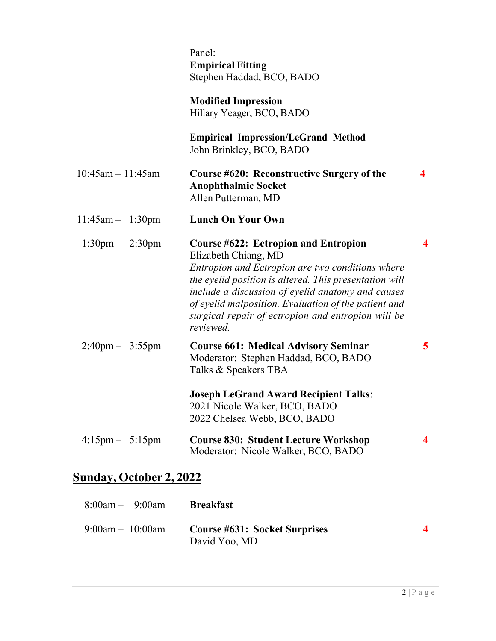|                                   | Panel:<br><b>Empirical Fitting</b><br>Stephen Haddad, BCO, BADO                                                                                                                                                                                                                                                                                                   |                         |
|-----------------------------------|-------------------------------------------------------------------------------------------------------------------------------------------------------------------------------------------------------------------------------------------------------------------------------------------------------------------------------------------------------------------|-------------------------|
|                                   | <b>Modified Impression</b><br>Hillary Yeager, BCO, BADO                                                                                                                                                                                                                                                                                                           |                         |
|                                   | <b>Empirical Impression/LeGrand Method</b><br>John Brinkley, BCO, BADO                                                                                                                                                                                                                                                                                            |                         |
| $10:45am - 11:45am$               | Course #620: Reconstructive Surgery of the<br><b>Anophthalmic Socket</b><br>Allen Putterman, MD                                                                                                                                                                                                                                                                   | 4                       |
| $11:45am - 1:30pm$                | <b>Lunch On Your Own</b>                                                                                                                                                                                                                                                                                                                                          |                         |
| $1:30 \text{pm} - 2:30 \text{pm}$ | <b>Course #622: Ectropion and Entropion</b><br>Elizabeth Chiang, MD<br>Entropion and Ectropion are two conditions where<br>the eyelid position is altered. This presentation will<br>include a discussion of eyelid anatomy and causes<br>of eyelid malposition. Evaluation of the patient and<br>surgical repair of ectropion and entropion will be<br>reviewed. | $\overline{\mathbf{4}}$ |
| $2:40 \text{pm} - 3:55 \text{pm}$ | <b>Course 661: Medical Advisory Seminar</b><br>Moderator: Stephen Haddad, BCO, BADO<br>Talks & Speakers TBA                                                                                                                                                                                                                                                       | $\overline{5}$          |
|                                   | <b>Joseph LeGrand Award Recipient Talks:</b><br>2021 Nicole Walker, BCO, BADO<br>2022 Chelsea Webb, BCO, BADO                                                                                                                                                                                                                                                     |                         |
| $4:15 \text{pm} - 5:15 \text{pm}$ | <b>Course 830: Student Lecture Workshop</b><br>Moderator: Nicole Walker, BCO, BADO                                                                                                                                                                                                                                                                                | 4                       |

# **Sunday, October 2, 2022**

| $8:00am - 9:00am$  | <b>Breakfast</b>                                      |  |
|--------------------|-------------------------------------------------------|--|
| $9:00am - 10:00am$ | <b>Course #631: Socket Surprises</b><br>David Yoo, MD |  |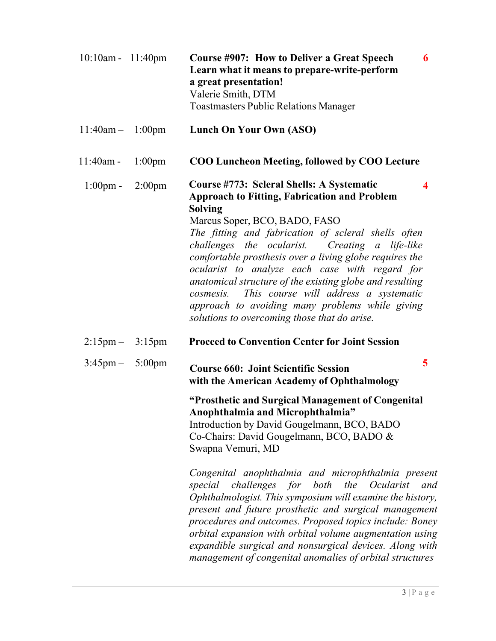| $10:10$ am - $11:40$ pm           |           | Course #907: How to Deliver a Great Speech<br>6<br>Learn what it means to prepare-write-perform<br>a great presentation!<br>Valerie Smith, DTM<br><b>Toastmasters Public Relations Manager</b>                                                                                                                                                                                                                                                                                                                                                                                                                                                                                               |
|-----------------------------------|-----------|----------------------------------------------------------------------------------------------------------------------------------------------------------------------------------------------------------------------------------------------------------------------------------------------------------------------------------------------------------------------------------------------------------------------------------------------------------------------------------------------------------------------------------------------------------------------------------------------------------------------------------------------------------------------------------------------|
| $11:40am - 1:00pm$                |           | <b>Lunch On Your Own (ASO)</b>                                                                                                                                                                                                                                                                                                                                                                                                                                                                                                                                                                                                                                                               |
| $11:40am -$                       | $1:00$ pm | <b>COO Luncheon Meeting, followed by COO Lecture</b>                                                                                                                                                                                                                                                                                                                                                                                                                                                                                                                                                                                                                                         |
| $1:00 \text{pm} - 2:00 \text{pm}$ |           | Course #773: Scleral Shells: A Systematic<br>4<br><b>Approach to Fitting, Fabrication and Problem</b><br><b>Solving</b><br>Marcus Soper, BCO, BADO, FASO<br>The fitting and fabrication of scleral shells often<br>challenges the ocularist. Creating a life-like<br>comfortable prosthesis over a living globe requires the<br>ocularist to analyze each case with regard for<br>anatomical structure of the existing globe and resulting<br>cosmesis. This course will address a systematic<br>approach to avoiding many problems while giving<br>solutions to overcoming those that do arise.                                                                                             |
| $2:15 \text{pm} - 3:15 \text{pm}$ |           | <b>Proceed to Convention Center for Joint Session</b>                                                                                                                                                                                                                                                                                                                                                                                                                                                                                                                                                                                                                                        |
| $3:45 \text{pm} - 5:00 \text{pm}$ |           | 5<br><b>Course 660: Joint Scientific Session</b><br>with the American Academy of Ophthalmology                                                                                                                                                                                                                                                                                                                                                                                                                                                                                                                                                                                               |
|                                   |           | "Prosthetic and Surgical Management of Congenital<br>Anophthalmia and Microphthalmia"<br>Introduction by David Gougelmann, BCO, BADO<br>Co-Chairs: David Gougelmann, BCO, BADO &<br>Swapna Vemuri, MD<br>Congenital anophthalmia and microphthalmia present<br>challenges for both<br>the<br>Ocularist<br>special<br>and<br>Ophthalmologist. This symposium will examine the history,<br>present and future prosthetic and surgical management<br>procedures and outcomes. Proposed topics include: Boney<br>orbital expansion with orbital volume augmentation using<br>expandible surgical and nonsurgical devices. Along with<br>management of congenital anomalies of orbital structures |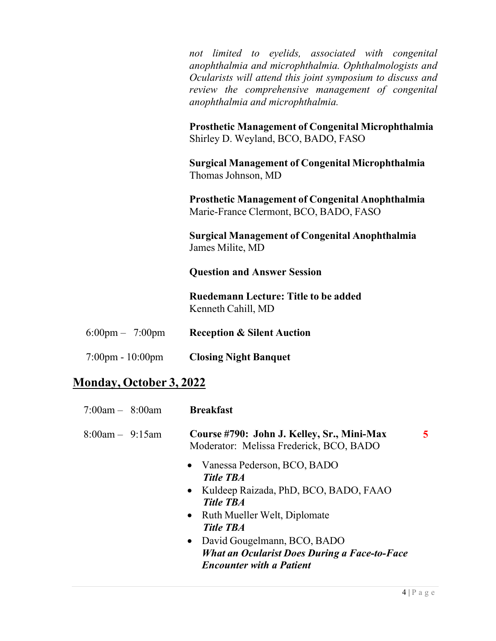*not limited to eyelids, associated with congenital anophthalmia and microphthalmia. Ophthalmologists and Ocularists will attend this joint symposium to discuss and review the comprehensive management of congenital anophthalmia and microphthalmia.*

**Prosthetic Management of Congenital Microphthalmia** Shirley D. Weyland, BCO, BADO, FASO

**Surgical Management of Congenital Microphthalmia** Thomas Johnson, MD

**Prosthetic Management of Congenital Anophthalmia** Marie-France Clermont, BCO, BADO, FASO

**Surgical Management of Congenital Anophthalmia** James Milite, MD

**Question and Answer Session** 

**Ruedemann Lecture: Title to be added** Kenneth Cahill, MD

| $6:00 \text{pm} - 7:00 \text{pm}$ |  | <b>Reception &amp; Silent Auction</b> |
|-----------------------------------|--|---------------------------------------|
|-----------------------------------|--|---------------------------------------|

7:00pm - 10:00pm **Closing Night Banquet**

#### **Monday, October 3, 2022**

| $7:00$ am $-$ 8:00am | <b>Breakfast</b>                                                                                                                                                                                                                                                                                  |    |
|----------------------|---------------------------------------------------------------------------------------------------------------------------------------------------------------------------------------------------------------------------------------------------------------------------------------------------|----|
| $8:00am - 9:15am$    | Course #790: John J. Kelley, Sr., Mini-Max<br>Moderator: Melissa Frederick, BCO, BADO                                                                                                                                                                                                             | 5. |
|                      | • Vanessa Pederson, BCO, BADO<br><b>Title TBA</b><br>• Kuldeep Raizada, PhD, BCO, BADO, FAAO<br><b>Title TBA</b><br>• Ruth Mueller Welt, Diplomate<br><b>Title TBA</b><br>• David Gougelmann, BCO, BADO<br><b>What an Ocularist Does During a Face-to-Face</b><br><b>Encounter with a Patient</b> |    |